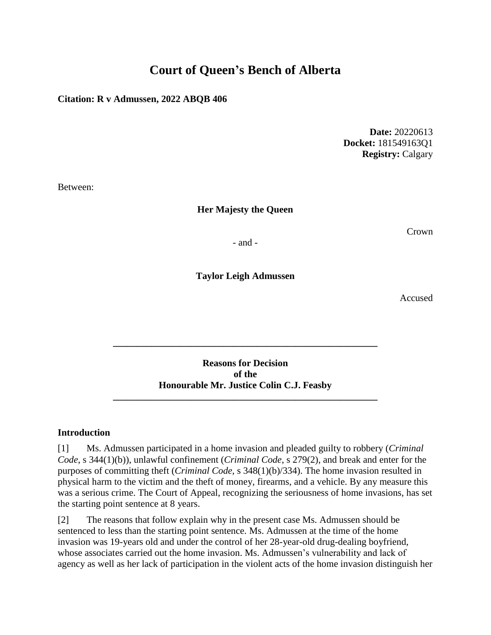# **Court of Queen's Bench of Alberta**

#### **Citation: R v Admussen, 2022 ABQB 406**

**Date:** 20220613 **Docket:** 181549163Q1 **Registry:** Calgary

Between:

#### **Her Majesty the Queen**

Crown

- and -

**Taylor Leigh Admussen**

Accused

**Reasons for Decision of the Honourable Mr. Justice Colin C.J. Feasby \_\_\_\_\_\_\_\_\_\_\_\_\_\_\_\_\_\_\_\_\_\_\_\_\_\_\_\_\_\_\_\_\_\_\_\_\_\_\_\_\_\_\_\_\_\_\_\_\_\_\_\_\_\_\_**

**\_\_\_\_\_\_\_\_\_\_\_\_\_\_\_\_\_\_\_\_\_\_\_\_\_\_\_\_\_\_\_\_\_\_\_\_\_\_\_\_\_\_\_\_\_\_\_\_\_\_\_\_\_\_\_**

#### **Introduction**

[1] Ms. Admussen participated in a home invasion and pleaded guilty to robbery (*Criminal Code*, s 344(1)(b)), unlawful confinement (*Criminal Code*, s 279(2), and break and enter for the purposes of committing theft (*Criminal Code*, s 348(1)(b)/334). The home invasion resulted in physical harm to the victim and the theft of money, firearms, and a vehicle. By any measure this was a serious crime. The Court of Appeal, recognizing the seriousness of home invasions, has set the starting point sentence at 8 years.

[2] The reasons that follow explain why in the present case Ms. Admussen should be sentenced to less than the starting point sentence. Ms. Admussen at the time of the home invasion was 19-years old and under the control of her 28-year-old drug-dealing boyfriend, whose associates carried out the home invasion. Ms. Admussen's vulnerability and lack of agency as well as her lack of participation in the violent acts of the home invasion distinguish her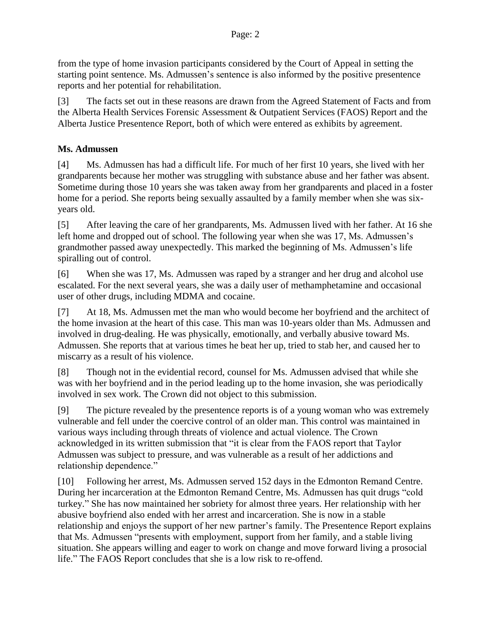from the type of home invasion participants considered by the Court of Appeal in setting the starting point sentence. Ms. Admussen's sentence is also informed by the positive presentence reports and her potential for rehabilitation.

[3] The facts set out in these reasons are drawn from the Agreed Statement of Facts and from the Alberta Health Services Forensic Assessment & Outpatient Services (FAOS) Report and the Alberta Justice Presentence Report, both of which were entered as exhibits by agreement.

## **Ms. Admussen**

[4] Ms. Admussen has had a difficult life. For much of her first 10 years, she lived with her grandparents because her mother was struggling with substance abuse and her father was absent. Sometime during those 10 years she was taken away from her grandparents and placed in a foster home for a period. She reports being sexually assaulted by a family member when she was sixyears old.

[5] After leaving the care of her grandparents, Ms. Admussen lived with her father. At 16 she left home and dropped out of school. The following year when she was 17, Ms. Admussen's grandmother passed away unexpectedly. This marked the beginning of Ms. Admussen's life spiralling out of control.

[6] When she was 17, Ms. Admussen was raped by a stranger and her drug and alcohol use escalated. For the next several years, she was a daily user of methamphetamine and occasional user of other drugs, including MDMA and cocaine.

[7] At 18, Ms. Admussen met the man who would become her boyfriend and the architect of the home invasion at the heart of this case. This man was 10-years older than Ms. Admussen and involved in drug-dealing. He was physically, emotionally, and verbally abusive toward Ms. Admussen. She reports that at various times he beat her up, tried to stab her, and caused her to miscarry as a result of his violence.

[8] Though not in the evidential record, counsel for Ms. Admussen advised that while she was with her boyfriend and in the period leading up to the home invasion, she was periodically involved in sex work. The Crown did not object to this submission.

[9] The picture revealed by the presentence reports is of a young woman who was extremely vulnerable and fell under the coercive control of an older man. This control was maintained in various ways including through threats of violence and actual violence. The Crown acknowledged in its written submission that "it is clear from the FAOS report that Taylor Admussen was subject to pressure, and was vulnerable as a result of her addictions and relationship dependence."

[10] Following her arrest, Ms. Admussen served 152 days in the Edmonton Remand Centre. During her incarceration at the Edmonton Remand Centre, Ms. Admussen has quit drugs "cold turkey." She has now maintained her sobriety for almost three years. Her relationship with her abusive boyfriend also ended with her arrest and incarceration. She is now in a stable relationship and enjoys the support of her new partner's family. The Presentence Report explains that Ms. Admussen "presents with employment, support from her family, and a stable living situation. She appears willing and eager to work on change and move forward living a prosocial life." The FAOS Report concludes that she is a low risk to re-offend.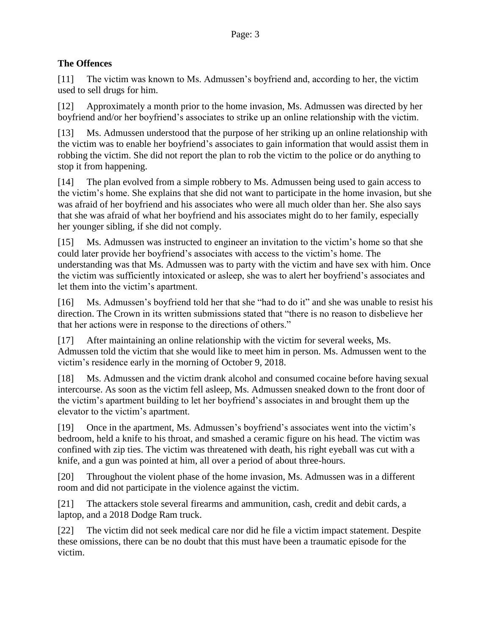### **The Offences**

[11] The victim was known to Ms. Admussen's boyfriend and, according to her, the victim used to sell drugs for him.

[12] Approximately a month prior to the home invasion, Ms. Admussen was directed by her boyfriend and/or her boyfriend's associates to strike up an online relationship with the victim.

[13] Ms. Admussen understood that the purpose of her striking up an online relationship with the victim was to enable her boyfriend's associates to gain information that would assist them in robbing the victim. She did not report the plan to rob the victim to the police or do anything to stop it from happening.

[14] The plan evolved from a simple robbery to Ms. Admussen being used to gain access to the victim's home. She explains that she did not want to participate in the home invasion, but she was afraid of her boyfriend and his associates who were all much older than her. She also says that she was afraid of what her boyfriend and his associates might do to her family, especially her younger sibling, if she did not comply.

[15] Ms. Admussen was instructed to engineer an invitation to the victim's home so that she could later provide her boyfriend's associates with access to the victim's home. The understanding was that Ms. Admussen was to party with the victim and have sex with him. Once the victim was sufficiently intoxicated or asleep, she was to alert her boyfriend's associates and let them into the victim's apartment.

[16] Ms. Admussen's boyfriend told her that she "had to do it" and she was unable to resist his direction. The Crown in its written submissions stated that "there is no reason to disbelieve her that her actions were in response to the directions of others."

[17] After maintaining an online relationship with the victim for several weeks, Ms. Admussen told the victim that she would like to meet him in person. Ms. Admussen went to the victim's residence early in the morning of October 9, 2018.

[18] Ms. Admussen and the victim drank alcohol and consumed cocaine before having sexual intercourse. As soon as the victim fell asleep, Ms. Admussen sneaked down to the front door of the victim's apartment building to let her boyfriend's associates in and brought them up the elevator to the victim's apartment.

[19] Once in the apartment, Ms. Admussen's boyfriend's associates went into the victim's bedroom, held a knife to his throat, and smashed a ceramic figure on his head. The victim was confined with zip ties. The victim was threatened with death, his right eyeball was cut with a knife, and a gun was pointed at him, all over a period of about three-hours.

[20] Throughout the violent phase of the home invasion, Ms. Admussen was in a different room and did not participate in the violence against the victim.

[21] The attackers stole several firearms and ammunition, cash, credit and debit cards, a laptop, and a 2018 Dodge Ram truck.

[22] The victim did not seek medical care nor did he file a victim impact statement. Despite these omissions, there can be no doubt that this must have been a traumatic episode for the victim.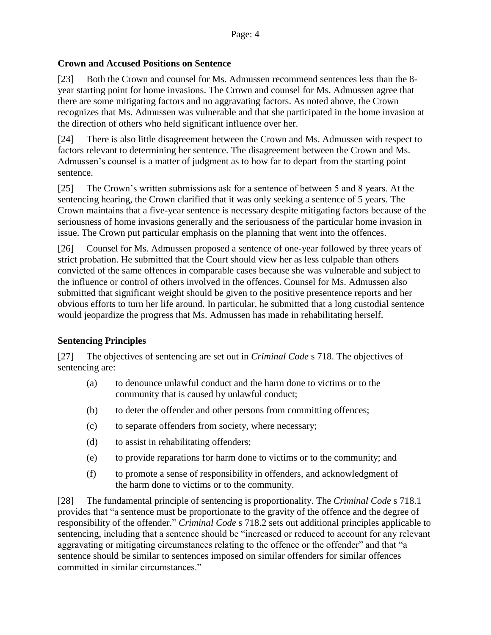#### **Crown and Accused Positions on Sentence**

[23] Both the Crown and counsel for Ms. Admussen recommend sentences less than the 8 year starting point for home invasions. The Crown and counsel for Ms. Admussen agree that there are some mitigating factors and no aggravating factors. As noted above, the Crown recognizes that Ms. Admussen was vulnerable and that she participated in the home invasion at the direction of others who held significant influence over her.

[24] There is also little disagreement between the Crown and Ms. Admussen with respect to factors relevant to determining her sentence. The disagreement between the Crown and Ms. Admussen's counsel is a matter of judgment as to how far to depart from the starting point sentence.

[25] The Crown's written submissions ask for a sentence of between 5 and 8 years. At the sentencing hearing, the Crown clarified that it was only seeking a sentence of 5 years. The Crown maintains that a five-year sentence is necessary despite mitigating factors because of the seriousness of home invasions generally and the seriousness of the particular home invasion in issue. The Crown put particular emphasis on the planning that went into the offences.

[26] Counsel for Ms. Admussen proposed a sentence of one-year followed by three years of strict probation. He submitted that the Court should view her as less culpable than others convicted of the same offences in comparable cases because she was vulnerable and subject to the influence or control of others involved in the offences. Counsel for Ms. Admussen also submitted that significant weight should be given to the positive presentence reports and her obvious efforts to turn her life around. In particular, he submitted that a long custodial sentence would jeopardize the progress that Ms. Admussen has made in rehabilitating herself.

#### **Sentencing Principles**

[27] The objectives of sentencing are set out in *Criminal Code* s 718. The objectives of sentencing are:

- (a) to denounce unlawful conduct and the harm done to victims or to the community that is caused by unlawful conduct;
- (b) to deter the offender and other persons from committing offences;
- (c) to separate offenders from society, where necessary;
- (d) to assist in rehabilitating offenders;
- (e) to provide reparations for harm done to victims or to the community; and
- (f) to promote a sense of responsibility in offenders, and acknowledgment of the harm done to victims or to the community.

[28] The fundamental principle of sentencing is proportionality. The *Criminal Code* s 718.1 provides that "a sentence must be proportionate to the gravity of the offence and the degree of responsibility of the offender." *Criminal Code* s 718.2 sets out additional principles applicable to sentencing, including that a sentence should be "increased or reduced to account for any relevant aggravating or mitigating circumstances relating to the offence or the offender" and that "a sentence should be similar to sentences imposed on similar offenders for similar offences committed in similar circumstances."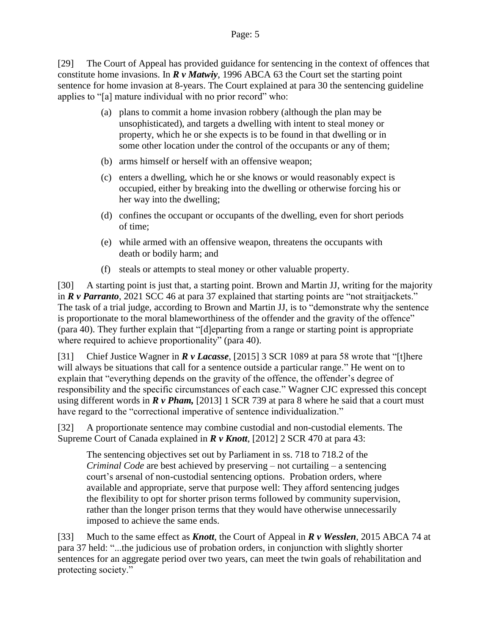#### Page: 5

[29] The Court of Appeal has provided guidance for sentencing in the context of offences that constitute home invasions. In *R v Matwiy*, 1996 ABCA 63 the Court set the starting point sentence for home invasion at 8-years. The Court explained at para 30 the sentencing guideline applies to "[a] mature individual with no prior record" who:

- (a) plans to commit a home invasion robbery (although the plan may be unsophisticated), and targets a dwelling with intent to steal money or property, which he or she expects is to be found in that dwelling or in some other location under the control of the occupants or any of them;
- (b) arms himself or herself with an offensive weapon;
- (c) enters a dwelling, which he or she knows or would reasonably expect is occupied, either by breaking into the dwelling or otherwise forcing his or her way into the dwelling;
- (d) confines the occupant or occupants of the dwelling, even for short periods of time;
- (e) while armed with an offensive weapon, threatens the occupants with death or bodily harm; and
- (f) steals or attempts to steal money or other valuable property.

[30] A starting point is just that, a starting point. Brown and Martin JJ, writing for the majority in *R v Parranto*, 2021 SCC 46 at para 37 explained that starting points are "not straitjackets." The task of a trial judge, according to Brown and Martin JJ, is to "demonstrate why the sentence is proportionate to the moral blameworthiness of the offender and the gravity of the offence" (para 40). They further explain that "[d]eparting from a range or starting point is appropriate where required to achieve proportionality" (para 40).

[31] Chief Justice Wagner in *R v Lacasse*, [2015] 3 SCR 1089 at para 58 wrote that "[t]here will always be situations that call for a sentence outside a particular range." He went on to explain that "everything depends on the gravity of the offence, the offender's degree of responsibility and the specific circumstances of each case." Wagner CJC expressed this concept using different words in *R v Pham,* [2013] 1 SCR 739 at para 8 where he said that a court must have regard to the "correctional imperative of sentence individualization."

[32] A proportionate sentence may combine custodial and non-custodial elements. The Supreme Court of Canada explained in *R v Knott*, [2012] 2 SCR 470 at para 43:

The sentencing objectives set out by Parliament in ss. 718 to 718.2 of the *Criminal Code* are best achieved by preserving – not curtailing – a sentencing court's arsenal of non-custodial sentencing options. Probation orders, where available and appropriate, serve that purpose well: They afford sentencing judges the flexibility to opt for shorter prison terms followed by community supervision, rather than the longer prison terms that they would have otherwise unnecessarily imposed to achieve the same ends.

[33] Much to the same effect as *Knott*, the Court of Appeal in *R v Wesslen*, 2015 ABCA 74 at para 37 held: "...the judicious use of probation orders, in conjunction with slightly shorter sentences for an aggregate period over two years, can meet the twin goals of rehabilitation and protecting society."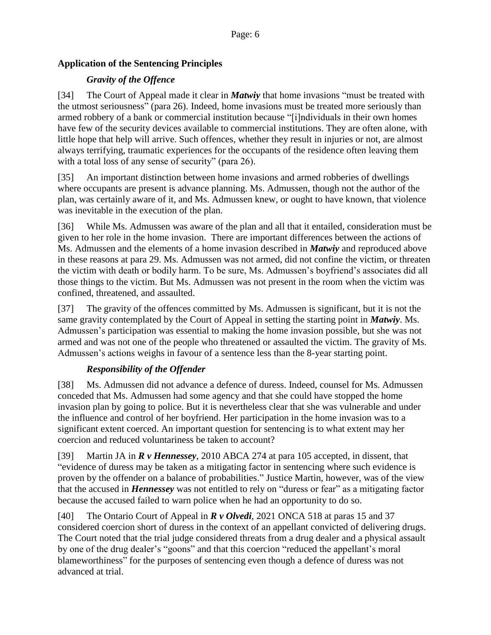## **Application of the Sentencing Principles**

## *Gravity of the Offence*

[34] The Court of Appeal made it clear in *Matwiy* that home invasions "must be treated with the utmost seriousness" (para 26). Indeed, home invasions must be treated more seriously than armed robbery of a bank or commercial institution because "[i]ndividuals in their own homes have few of the security devices available to commercial institutions. They are often alone, with little hope that help will arrive. Such offences, whether they result in injuries or not, are almost always terrifying, traumatic experiences for the occupants of the residence often leaving them with a total loss of any sense of security" (para 26).

[35] An important distinction between home invasions and armed robberies of dwellings where occupants are present is advance planning. Ms. Admussen, though not the author of the plan, was certainly aware of it, and Ms. Admussen knew, or ought to have known, that violence was inevitable in the execution of the plan.

[36] While Ms. Admussen was aware of the plan and all that it entailed, consideration must be given to her role in the home invasion. There are important differences between the actions of Ms. Admussen and the elements of a home invasion described in *Matwiy* and reproduced above in these reasons at para 29. Ms. Admussen was not armed, did not confine the victim, or threaten the victim with death or bodily harm. To be sure, Ms. Admussen's boyfriend's associates did all those things to the victim. But Ms. Admussen was not present in the room when the victim was confined, threatened, and assaulted.

[37] The gravity of the offences committed by Ms. Admussen is significant, but it is not the same gravity contemplated by the Court of Appeal in setting the starting point in *Matwiy*. Ms. Admussen's participation was essential to making the home invasion possible, but she was not armed and was not one of the people who threatened or assaulted the victim. The gravity of Ms. Admussen's actions weighs in favour of a sentence less than the 8-year starting point.

## *Responsibility of the Offender*

[38] Ms. Admussen did not advance a defence of duress. Indeed, counsel for Ms. Admussen conceded that Ms. Admussen had some agency and that she could have stopped the home invasion plan by going to police. But it is nevertheless clear that she was vulnerable and under the influence and control of her boyfriend. Her participation in the home invasion was to a significant extent coerced. An important question for sentencing is to what extent may her coercion and reduced voluntariness be taken to account?

[39] Martin JA in *R v Hennessey*, 2010 ABCA 274 at para 105 accepted, in dissent, that "evidence of duress may be taken as a mitigating factor in sentencing where such evidence is proven by the offender on a balance of probabilities." Justice Martin, however, was of the view that the accused in *Hennessey* was not entitled to rely on "duress or fear" as a mitigating factor because the accused failed to warn police when he had an opportunity to do so.

[40] The Ontario Court of Appeal in *R v Olvedi*, 2021 ONCA 518 at paras 15 and 37 considered coercion short of duress in the context of an appellant convicted of delivering drugs. The Court noted that the trial judge considered threats from a drug dealer and a physical assault by one of the drug dealer's "goons" and that this coercion "reduced the appellant's moral blameworthiness" for the purposes of sentencing even though a defence of duress was not advanced at trial.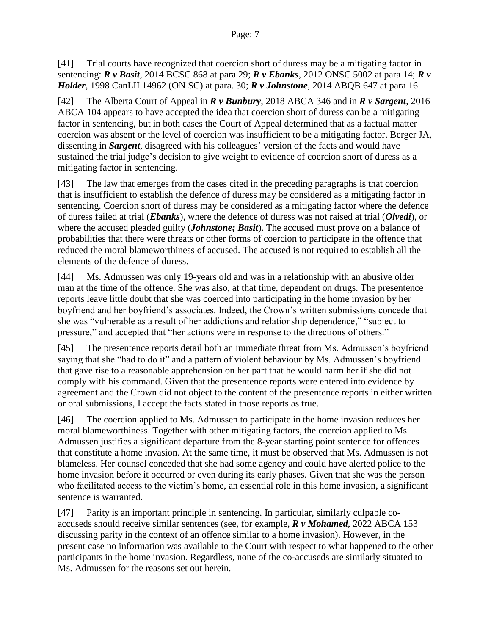[41] Trial courts have recognized that coercion short of duress may be a mitigating factor in sentencing: *R v Basit*, 2014 BCSC 868 at para 29; *R v Ebanks*, [2012 ONSC 5002](https://www.canlii.org/en/on/onsc/doc/2012/2012onsc5002/2012onsc5002.html) at para 14; *R v Holder*, [1998 CanLII 14962 \(ON SC\)](https://www.canlii.org/en/on/onsc/doc/1998/1998canlii14962/1998canlii14962.html) at para. [30;](https://www.canlii.org/en/on/onsc/doc/1998/1998canlii14962/1998canlii14962.html#par30) *R v Johnstone*, 2014 ABQB 647 at para 16.

[42] The Alberta Court of Appeal in *R v Bunbury*, 2018 ABCA 346 and in *R v Sargent*, 2016 ABCA 104 appears to have accepted the idea that coercion short of duress can be a mitigating factor in sentencing, but in both cases the Court of Appeal determined that as a factual matter coercion was absent or the level of coercion was insufficient to be a mitigating factor. Berger JA, dissenting in *Sargent*, disagreed with his colleagues' version of the facts and would have sustained the trial judge's decision to give weight to evidence of coercion short of duress as a mitigating factor in sentencing.

[43] The law that emerges from the cases cited in the preceding paragraphs is that coercion that is insufficient to establish the defence of duress may be considered as a mitigating factor in sentencing. Coercion short of duress may be considered as a mitigating factor where the defence of duress failed at trial (*Ebanks*), where the defence of duress was not raised at trial (*Olvedi*), or where the accused pleaded guilty (*Johnstone; Basit*). The accused must prove on a balance of probabilities that there were threats or other forms of coercion to participate in the offence that reduced the moral blameworthiness of accused. The accused is not required to establish all the elements of the defence of duress.

[44] Ms. Admussen was only 19-years old and was in a relationship with an abusive older man at the time of the offence. She was also, at that time, dependent on drugs. The presentence reports leave little doubt that she was coerced into participating in the home invasion by her boyfriend and her boyfriend's associates. Indeed, the Crown's written submissions concede that she was "vulnerable as a result of her addictions and relationship dependence," "subject to pressure," and accepted that "her actions were in response to the directions of others."

[45] The presentence reports detail both an immediate threat from Ms. Admussen's boyfriend saying that she "had to do it" and a pattern of violent behaviour by Ms. Admussen's boyfriend that gave rise to a reasonable apprehension on her part that he would harm her if she did not comply with his command. Given that the presentence reports were entered into evidence by agreement and the Crown did not object to the content of the presentence reports in either written or oral submissions, I accept the facts stated in those reports as true.

[46] The coercion applied to Ms. Admussen to participate in the home invasion reduces her moral blameworthiness. Together with other mitigating factors, the coercion applied to Ms. Admussen justifies a significant departure from the 8-year starting point sentence for offences that constitute a home invasion. At the same time, it must be observed that Ms. Admussen is not blameless. Her counsel conceded that she had some agency and could have alerted police to the home invasion before it occurred or even during its early phases. Given that she was the person who facilitated access to the victim's home, an essential role in this home invasion, a significant sentence is warranted.

[47] Parity is an important principle in sentencing. In particular, similarly culpable coaccuseds should receive similar sentences (see, for example, *R v Mohamed*, 2022 ABCA 153 discussing parity in the context of an offence similar to a home invasion). However, in the present case no information was available to the Court with respect to what happened to the other participants in the home invasion. Regardless, none of the co-accuseds are similarly situated to Ms. Admussen for the reasons set out herein.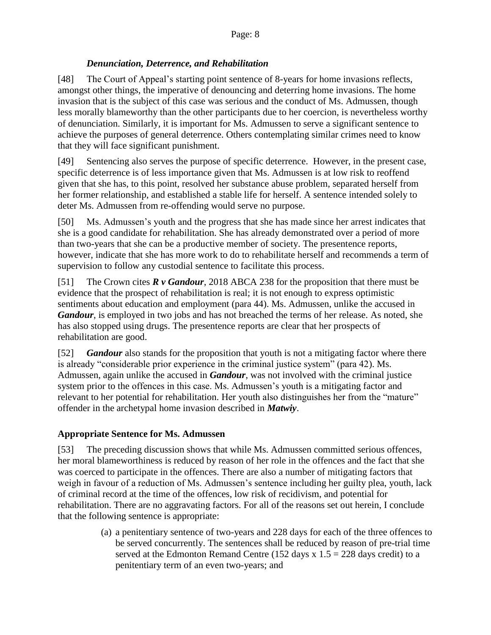#### *Denunciation, Deterrence, and Rehabilitation*

[48] The Court of Appeal's starting point sentence of 8-years for home invasions reflects, amongst other things, the imperative of denouncing and deterring home invasions. The home invasion that is the subject of this case was serious and the conduct of Ms. Admussen, though less morally blameworthy than the other participants due to her coercion, is nevertheless worthy of denunciation. Similarly, it is important for Ms. Admussen to serve a significant sentence to achieve the purposes of general deterrence. Others contemplating similar crimes need to know that they will face significant punishment.

[49] Sentencing also serves the purpose of specific deterrence. However, in the present case, specific deterrence is of less importance given that Ms. Admussen is at low risk to reoffend given that she has, to this point, resolved her substance abuse problem, separated herself from her former relationship, and established a stable life for herself. A sentence intended solely to deter Ms. Admussen from re-offending would serve no purpose.

[50] Ms. Admussen's youth and the progress that she has made since her arrest indicates that she is a good candidate for rehabilitation. She has already demonstrated over a period of more than two-years that she can be a productive member of society. The presentence reports, however, indicate that she has more work to do to rehabilitate herself and recommends a term of supervision to follow any custodial sentence to facilitate this process.

[51] The Crown cites *R v Gandour*, 2018 ABCA 238 for the proposition that there must be evidence that the prospect of rehabilitation is real; it is not enough to express optimistic sentiments about education and employment (para 44). Ms. Admussen, unlike the accused in *Gandour*, is employed in two jobs and has not breached the terms of her release. As noted, she has also stopped using drugs. The presentence reports are clear that her prospects of rehabilitation are good.

[52] *Gandour* also stands for the proposition that youth is not a mitigating factor where there is already "considerable prior experience in the criminal justice system" (para 42). Ms. Admussen, again unlike the accused in *Gandour*, was not involved with the criminal justice system prior to the offences in this case. Ms. Admussen's youth is a mitigating factor and relevant to her potential for rehabilitation. Her youth also distinguishes her from the "mature" offender in the archetypal home invasion described in *Matwiy*.

#### **Appropriate Sentence for Ms. Admussen**

[53] The preceding discussion shows that while Ms. Admussen committed serious offences, her moral blameworthiness is reduced by reason of her role in the offences and the fact that she was coerced to participate in the offences. There are also a number of mitigating factors that weigh in favour of a reduction of Ms. Admussen's sentence including her guilty plea, youth, lack of criminal record at the time of the offences, low risk of recidivism, and potential for rehabilitation. There are no aggravating factors. For all of the reasons set out herein, I conclude that the following sentence is appropriate:

> (a) a penitentiary sentence of two-years and 228 days for each of the three offences to be served concurrently. The sentences shall be reduced by reason of pre-trial time served at the Edmonton Remand Centre (152 days  $x 1.5 = 228$  days credit) to a penitentiary term of an even two-years; and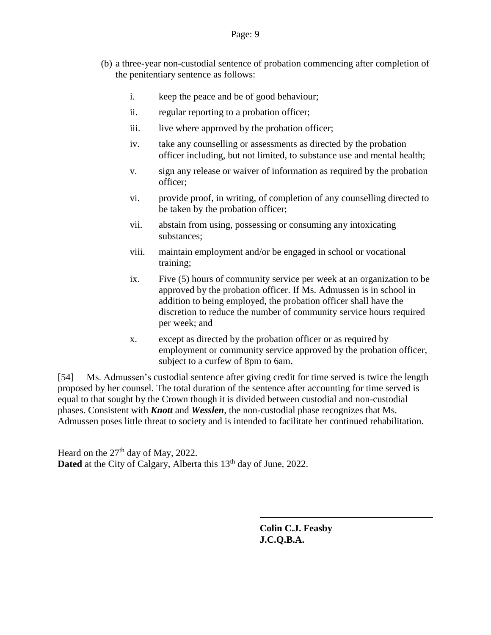- (b) a three-year non-custodial sentence of probation commencing after completion of the penitentiary sentence as follows:
	- i. keep the peace and be of good behaviour;
	- ii. regular reporting to a probation officer;
	- iii. live where approved by the probation officer;
	- iv. take any counselling or assessments as directed by the probation officer including, but not limited, to substance use and mental health;
	- v. sign any release or waiver of information as required by the probation officer;
	- vi. provide proof, in writing, of completion of any counselling directed to be taken by the probation officer;
	- vii. abstain from using, possessing or consuming any intoxicating substances;
	- viii. maintain employment and/or be engaged in school or vocational training;
	- ix. Five (5) hours of community service per week at an organization to be approved by the probation officer. If Ms. Admussen is in school in addition to being employed, the probation officer shall have the discretion to reduce the number of community service hours required per week; and
	- x. except as directed by the probation officer or as required by employment or community service approved by the probation officer, subject to a curfew of 8pm to 6am.

[54] Ms. Admussen's custodial sentence after giving credit for time served is twice the length proposed by her counsel. The total duration of the sentence after accounting for time served is equal to that sought by the Crown though it is divided between custodial and non-custodial phases. Consistent with *Knott* and *Wesslen*, the non-custodial phase recognizes that Ms. Admussen poses little threat to society and is intended to facilitate her continued rehabilitation.

Heard on the  $27<sup>th</sup>$  day of May, 2022. **Dated** at the City of Calgary, Alberta this 13<sup>th</sup> day of June, 2022.

> **Colin C.J. Feasby J.C.Q.B.A.**